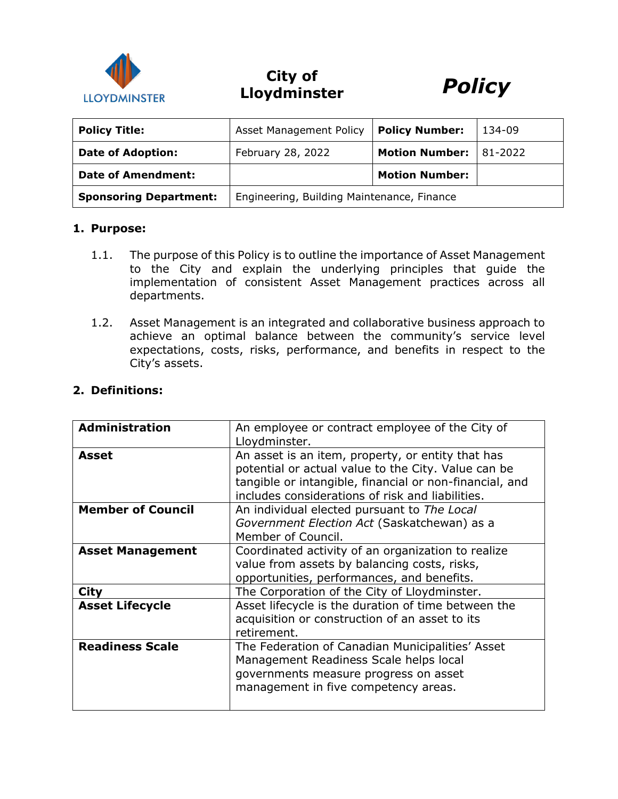

# **City of Lloydminster** *Policy*



| <b>Policy Title:</b>          | Asset Management Policy                    | <b>Policy Number:</b> | 134-09  |
|-------------------------------|--------------------------------------------|-----------------------|---------|
| <b>Date of Adoption:</b>      | February 28, 2022                          | <b>Motion Number:</b> | 81-2022 |
| Date of Amendment:            |                                            | <b>Motion Number:</b> |         |
| <b>Sponsoring Department:</b> | Engineering, Building Maintenance, Finance |                       |         |

#### **1. Purpose:**

- 1.1. The purpose of this Policy is to outline the importance of Asset Management to the City and explain the underlying principles that guide the implementation of consistent Asset Management practices across all departments.
- 1.2. Asset Management is an integrated and collaborative business approach to achieve an optimal balance between the community's service level expectations, costs, risks, performance, and benefits in respect to the City's assets.

| <b>Administration</b>    | An employee or contract employee of the City of<br>Lloydminster.                                                                                                                                                        |
|--------------------------|-------------------------------------------------------------------------------------------------------------------------------------------------------------------------------------------------------------------------|
| Asset                    | An asset is an item, property, or entity that has<br>potential or actual value to the City. Value can be<br>tangible or intangible, financial or non-financial, and<br>includes considerations of risk and liabilities. |
| <b>Member of Council</b> | An individual elected pursuant to The Local<br>Government Election Act (Saskatchewan) as a<br>Member of Council.                                                                                                        |
| <b>Asset Management</b>  | Coordinated activity of an organization to realize<br>value from assets by balancing costs, risks,<br>opportunities, performances, and benefits.                                                                        |
| <b>City</b>              | The Corporation of the City of Lloydminster.                                                                                                                                                                            |
| <b>Asset Lifecycle</b>   | Asset lifecycle is the duration of time between the<br>acquisition or construction of an asset to its<br>retirement.                                                                                                    |
| <b>Readiness Scale</b>   | The Federation of Canadian Municipalities' Asset<br>Management Readiness Scale helps local<br>governments measure progress on asset<br>management in five competency areas.                                             |

#### **2. Definitions:**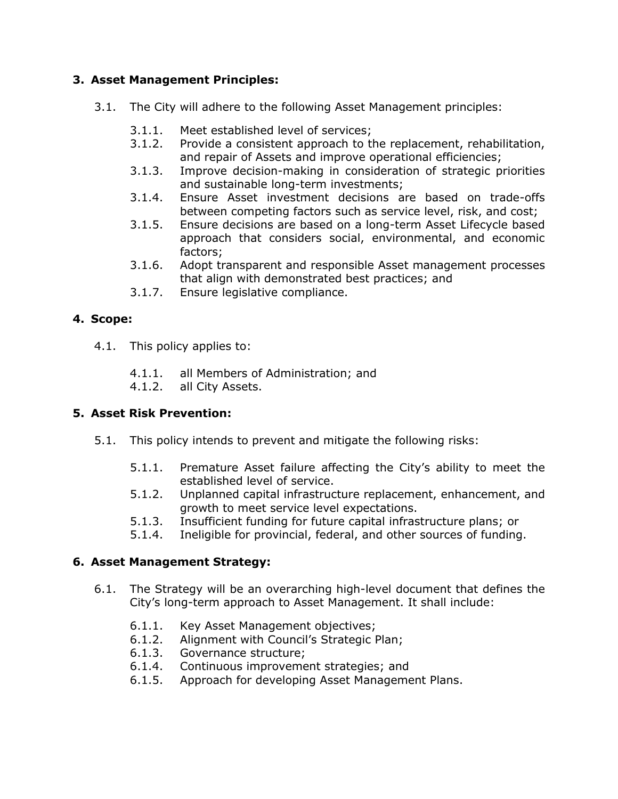# **3. Asset Management Principles:**

- 3.1. The City will adhere to the following Asset Management principles:
	- 3.1.1. Meet established level of services;
	- 3.1.2. Provide a consistent approach to the replacement, rehabilitation, and repair of Assets and improve operational efficiencies;
	- 3.1.3. Improve decision-making in consideration of strategic priorities and sustainable long-term investments;
	- 3.1.4. Ensure Asset investment decisions are based on trade-offs between competing factors such as service level, risk, and cost;
	- 3.1.5. Ensure decisions are based on a long-term Asset Lifecycle based approach that considers social, environmental, and economic factors;
	- 3.1.6. Adopt transparent and responsible Asset management processes that align with demonstrated best practices; and
	- 3.1.7. Ensure legislative compliance.

# **4. Scope:**

- 4.1. This policy applies to:
	- 4.1.1. all Members of Administration; and
	- 4.1.2. all City Assets.

### **5. Asset Risk Prevention:**

- 5.1. This policy intends to prevent and mitigate the following risks:
	- 5.1.1. Premature Asset failure affecting the City's ability to meet the established level of service.
	- 5.1.2. Unplanned capital infrastructure replacement, enhancement, and growth to meet service level expectations.
	- 5.1.3. Insufficient funding for future capital infrastructure plans; or
	- 5.1.4. Ineligible for provincial, federal, and other sources of funding.

### **6. Asset Management Strategy:**

- 6.1. The Strategy will be an overarching high-level document that defines the City's long-term approach to Asset Management. It shall include:
	- 6.1.1. Key Asset Management objectives;
	- 6.1.2. Alignment with Council's Strategic Plan;
	- 6.1.3. Governance structure;
	- 6.1.4. Continuous improvement strategies; and
	- 6.1.5. Approach for developing Asset Management Plans.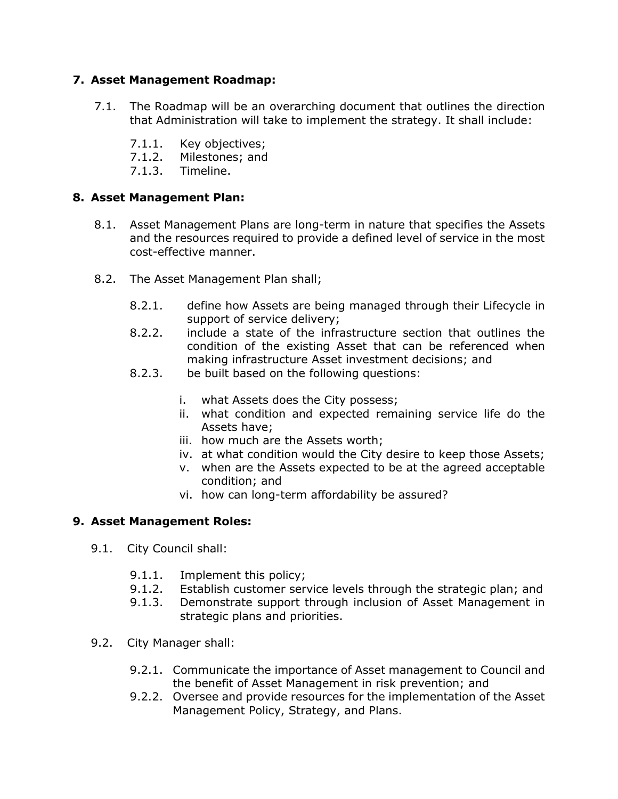# **7. Asset Management Roadmap:**

- 7.1. The Roadmap will be an overarching document that outlines the direction that Administration will take to implement the strategy. It shall include:
	- 7.1.1. Key objectives;
	- 7.1.2. Milestones; and
	- 7.1.3. Timeline.

# **8. Asset Management Plan:**

- 8.1. Asset Management Plans are long-term in nature that specifies the Assets and the resources required to provide a defined level of service in the most cost-effective manner.
- 8.2. The Asset Management Plan shall;
	- 8.2.1. define how Assets are being managed through their Lifecycle in support of service delivery;
	- 8.2.2. include a state of the infrastructure section that outlines the condition of the existing Asset that can be referenced when making infrastructure Asset investment decisions; and
	- 8.2.3. be built based on the following questions:
		- i. what Assets does the City possess;
		- ii. what condition and expected remaining service life do the Assets have;
		- iii. how much are the Assets worth;
		- iv. at what condition would the City desire to keep those Assets;
		- v. when are the Assets expected to be at the agreed acceptable condition; and
		- vi. how can long-term affordability be assured?

### **9. Asset Management Roles:**

- 9.1. City Council shall:
	- 9.1.1. Implement this policy;
	- 9.1.2. Establish customer service levels through the strategic plan; and
	- 9.1.3. Demonstrate support through inclusion of Asset Management in strategic plans and priorities.
- 9.2. City Manager shall:
	- 9.2.1. Communicate the importance of Asset management to Council and the benefit of Asset Management in risk prevention; and
	- 9.2.2. Oversee and provide resources for the implementation of the Asset Management Policy, Strategy, and Plans.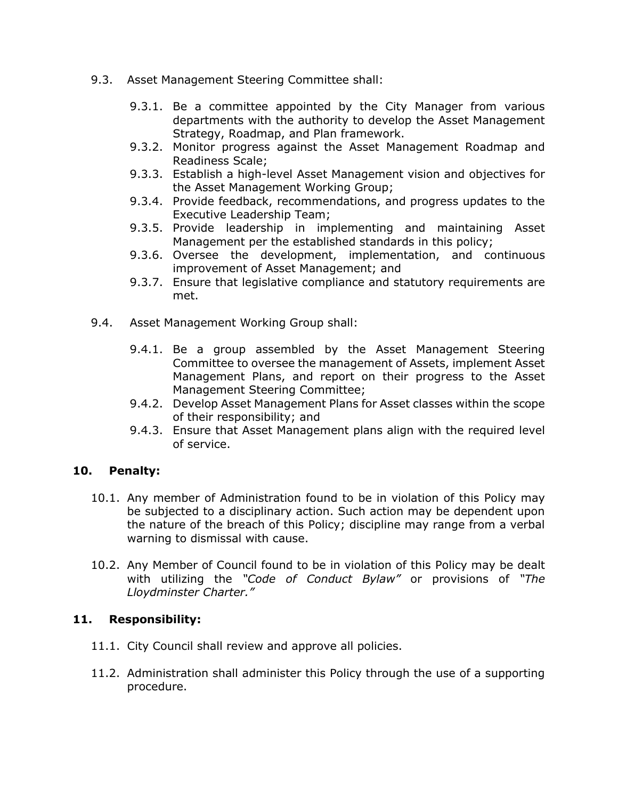- 9.3. Asset Management Steering Committee shall:
	- 9.3.1. Be a committee appointed by the City Manager from various departments with the authority to develop the Asset Management Strategy, Roadmap, and Plan framework.
	- 9.3.2. Monitor progress against the Asset Management Roadmap and Readiness Scale;
	- 9.3.3. Establish a high-level Asset Management vision and objectives for the Asset Management Working Group;
	- 9.3.4. Provide feedback, recommendations, and progress updates to the Executive Leadership Team;
	- 9.3.5. Provide leadership in implementing and maintaining Asset Management per the established standards in this policy;
	- 9.3.6. Oversee the development, implementation, and continuous improvement of Asset Management; and
	- 9.3.7. Ensure that legislative compliance and statutory requirements are met.
- 9.4. Asset Management Working Group shall:
	- 9.4.1. Be a group assembled by the Asset Management Steering Committee to oversee the management of Assets, implement Asset Management Plans, and report on their progress to the Asset Management Steering Committee;
	- 9.4.2. Develop Asset Management Plans for Asset classes within the scope of their responsibility; and
	- 9.4.3. Ensure that Asset Management plans align with the required level of service.

### **10. Penalty:**

- 10.1. Any member of Administration found to be in violation of this Policy may be subjected to a disciplinary action. Such action may be dependent upon the nature of the breach of this Policy; discipline may range from a verbal warning to dismissal with cause.
- 10.2. Any Member of Council found to be in violation of this Policy may be dealt with utilizing the *"Code of Conduct Bylaw"* or provisions of *"The Lloydminster Charter."*

### **11. Responsibility:**

- 11.1. City Council shall review and approve all policies.
- 11.2. Administration shall administer this Policy through the use of a supporting procedure.